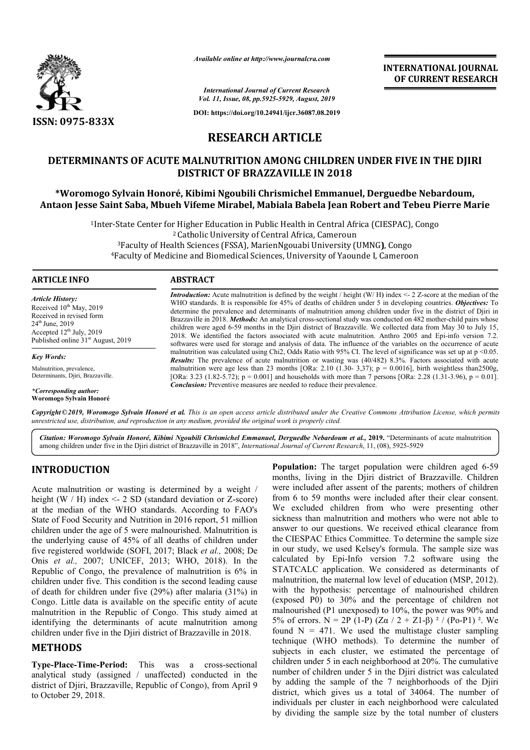

*Available online at http://www.journalcra.com*

**INTERNATIONAL JOURNAL OF CURRENT RESEARCH**

*International Journal of Current Research Vol. 11, Issue, 08, pp.5925-5929, August, 2019*

**DOI: https://doi.org/10.24941/ijcr.36087.08.2019**

# **RESEARCH ARTICLE**

# **DETERMINANTS OF ACUTE MALNUTRITION AMONG CHILDREN UNDER FIVE IN THE THE DJIRI DISTRICT OF BRAZZAVILLE IN 2018**

\*Woromogo Sylvain Honoré, Kibimi Ngoubili Chrismichel Emmanuel, Derguedbe Nebardoum,<br>aon Jesse Saint Saba, Mbueh Vifeme Mirabel, Mabiala Babela Jean Robert and Tebeu Pierre Ma **Antaon Jesse Saint Saba, Mbueh Vifeme Mirabel, Mabiala Babela Jean Robert and Tebeu Pierre Marie**

> <sup>1</sup>Inter-State Center for Higher Education in Public Health in Central Africa (CIESPAC), Congo 2 Catholic University of Central Africa, Cameroun <sup>3</sup>Faculty of Health Sciences (FSSA), MarienNgouabi University (UMNG), Congo<br><sup>3</sup>aculty of Medicine and Biomedical Sciences, University of Yaounde I, Cameroon <sup>4</sup>Faculty of Medicine and Biomedical Sciences, University of Yaounde I, Cameroon

#### **ARTICLE INFO ABSTRACT**

*Article History:* Received  $10^{th}$  May, 2019 Received in revised form  $24^{\text{th}}$  June,  $2019$ Accepted  $12<sup>th</sup>$  July, 2019 Published online 31<sup>st</sup> August, 2019

*Key Words:* Malnutrition, prevalence,

Determinants, Djiri, Brazzaville.

#### *\*Corresponding author:*  **Woromogo Sylvain Honoré**

*Introduction:* Acute malnutrition is defined by the weight / height (W/H) index <- 2 Z-score at the median of the WHO standards. It is responsible for 45% of deaths of children under 5 in developing countries. Objectives: To determine the prevalence and determinants of malnutrition among children under five in the district of Djiri in determine the prevalence and determinants of malnutrition among children under five in the district of Djiri in<br>Brazzaville in 2018. *Methods:* An analytical cross-sectional study was conducted on 482 mother-child pairs wh children were aged 6 6-59 months in the Djiri district of Brazzaville. We collected data from May 30 to July 15, 2018. We identified the factors associated with acute malnutrition. Anthro 2005 and Epi Epi-info version 7.2. softwares were used for storage and analysis of data. The influence of the variables on the occurrence of acute malnutrition was calculated using Chi2, Odds Ratio with 95% CI. The level of significance was set up at  $p \le 0.05$ . *Results Results:* The prevalence of acute malnutrition or wasting was (40/482) 8.3%. Factors associated with acute malnutrition were age less than 23 months [ORa: 2.10 (1.30- 3,37);  $p = 0.0016$ ], birth weightless than2500g, [ORa: 3.23  $(1.82 - 5.72)$ ;  $p = 0.001$ ] and households with more than 7 persons [ORa: 2.28  $(1.31)$ ] **Conclusion:** Preventive measures are needed to reduce their prevalence. softwares were used for storage and analysis of data. The influence of the variables on the occurrence of acute malnutrition was calculated using Chi2, Odds Ratio with 95% CI. The level of significance was set up at  $p \le$ 

Copyright©2019, Woromogo Sylvain Honoré et al. This is an open access article distributed under the Creative Commons Attribution License, which permits *unrestricted use, distribution, and reproduction in any medium, provided the original work is properly cited.*

*Citation: Woromogo Sylvain Honoré, Kibimi Ngoubili Chrismichel Emmanuel, Derguedbe Nebardoum et al.,* **2019.** "Determinants of acute malnutrition among children under five in the Djiri district of Brazzaville in 2018", *International Journal of Current Research*, 11, (08), 5925-5929

# **INTRODUCTION**

Acute malnutrition or wasting is determined by a weight / height (W / H) index <- 2 SD (standard deviation or Z Z-score) at the median of the WHO standards. According to FAO's State of Food Security and Nutrition in 2016 report, 51 million children under the age of 5 were malnourished. Malnutrition is the underlying cause of 45% of all deaths of children under five registered worldwide (SOFI, 2017; Black *et al.,* 2008; De Onis *et al.*, 2007; UNICEF, 2013; WHO, 2018). In the Republic of Congo, the prevalence of malnutrition is 6% in children under five. This condition is the second leading cause of death for children under five (29%) after malaria (31%) in Congo. Little data is available on the specific entity of acute malnutrition in the Republic of Congo. This study aimed at identifying the determinants of acute malnutrition among children under five in the Djiri district of Brazzaville in 2018.

# **METHODS**

**Type-Place-Time-Period:** This was analytical study (assigned / unaffected) conducted in the district of Djiri, Brazzaville, Republic of Congo), from April 9 to October 29, 2018. cross-sectional

**Population:** The target population were children aged 6-59 months, living in the Djiri district of Brazzaville. Children months, living in the Djiri district of Brazzaville. Children<br>were included after assent of the parents; mothers of children from 6 to 59 months were included after their clear consent. from 6 to 59 months were included after their clear consent.<br>We excluded children from who were presenting other sickness than malnutrition and mothers who were not able to answer to our questions. We received ethical clearance from answer to our questions. We received ethical clearance from the CIESPAC Ethics Committee. To determine the sample size in our study, we used Kelsey's formula. The sample size was calculated by Epi-Info version 7.2 software using the STATCALC application. We considered as determinants of malnutrition, the maternal low level of education (MSP, 2012). with the hypothesis: percentage of malnourished children (exposed P0) to 30% and the percentage of children not malnourished (P1 unexposed) to 10%, the power was 90% and 5% of errors. N = 2P (1-P) (Zα / 2 + Z1-β) <sup>2</sup> / (Po-P1) <sup>2</sup>. We found  $N = 471$ . We used the multistage cluster sampling technique (WHO methods). To determine the number of subjects in each cluster, we estimated the percentage of children under 5 in each neighborhood at 20%. The cumulative number of children under 5 in the Djiri district was calculated by adding the sample of the 7 neighborhoods of the Djiri district, which gives us a total of 34064. The number of individuals per cluster in each neighborhood were calculated by dividing the sample size by the total number of clusters we used Kelsey's formula. The sample size was<br>y Epi-Info version 7.2 software using the<br>application. We considered as determinants of<br>the maternal low level of education (MSP, 2012). and the percentage of children not<br>sed) to 10%, the power was 90% and<br>P)  $(Z\alpha / 2 + Z1-\beta)$  <sup>2</sup> / (Po-P1) <sup>2</sup>. We ie (WHO methods). To determine the number of in each cluster, we estimated the percentage of under 5 in each neighborhood at 20%. The cumulative of children under 5 in the Djiri district was calculated ng the sample of the **INTERNATIONAL JOURNAL<br>
FOR Recentral CONSTRATIONAL JOURNAL<br>
OF CURRENT RESEARCH<br>
OF CURRENT RESEARCH<br>
1973-36887.88.2019<br>
NG CHILDREN UNDER FIVE IN THE DJIRI<br>
NTICLE<br>
NG CHILDREN UNDER FIVE IN THE DJIRI<br>
NILLE IN 2018<br>
B**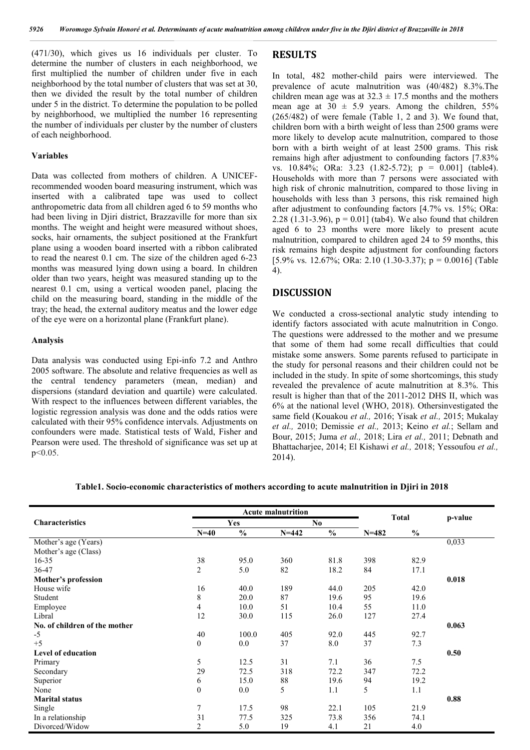(471/30), which gives us 16 individuals per cluster. To determine the number of clusters in each neighborhood, we first multiplied the number of children under five in each neighborhood by the total number of clusters that was set at 30, then we divided the result by the total number of children under 5 in the district. To determine the population to be polled by neighborhood, we multiplied the number 16 representing the number of individuals per cluster by the number of clusters of each neighborhood.

#### **Variables**

Data was collected from mothers of children. A UNICEFrecommended wooden board measuring instrument, which was inserted with a calibrated tape was used to collect anthropometric data from all children aged 6 to 59 months who had been living in Djiri district, Brazzaville for more than six months. The weight and height were measured without shoes, socks, hair ornaments, the subject positioned at the Frankfurt plane using a wooden board inserted with a ribbon calibrated to read the nearest 0.1 cm. The size of the children aged 6-23 months was measured lying down using a board. In children older than two years, height was measured standing up to the nearest 0.1 cm, using a vertical wooden panel, placing the child on the measuring board, standing in the middle of the tray; the head, the external auditory meatus and the lower edge of the eye were on a horizontal plane (Frankfurt plane).

#### **Analysis**

Data analysis was conducted using Epi-info 7.2 and Anthro 2005 software. The absolute and relative frequencies as well as the central tendency parameters (mean, median) and dispersions (standard deviation and quartile) were calculated. With respect to the influences between different variables, the logistic regression analysis was done and the odds ratios were calculated with their 95% confidence intervals. Adjustments on confounders were made. Statistical tests of Wald, Fisher and Pearson were used. The threshold of significance was set up at p<0.05.

## **RESULTS**

In total, 482 mother-child pairs were interviewed. The prevalence of acute malnutrition was (40/482) 8.3%.The children mean age was at  $32.3 \pm 17.5$  months and the mothers mean age at  $30 \pm 5.9$  years. Among the children, 55% (265/482) of were female (Table 1, 2 and 3). We found that, children born with a birth weight of less than 2500 grams were more likely to develop acute malnutrition, compared to those born with a birth weight of at least 2500 grams. This risk remains high after adjustment to confounding factors [7.83% vs. 10.84%; ORa: 3.23 (1.82-5.72); p = 0.001] (table4). Households with more than 7 persons were associated with high risk of chronic malnutrition, compared to those living in households with less than 3 persons, this risk remained high after adjustment to confounding factors [4.7% vs. 15%; ORa: 2.28 (1.31-3.96),  $p = 0.01$ ] (tab4). We also found that children aged 6 to 23 months were more likely to present acute malnutrition, compared to children aged 24 to 59 months, this risk remains high despite adjustment for confounding factors [5.9% vs. 12.67%; ORa: 2.10 (1.30-3.37);  $p = 0.0016$ ] (Table 4).

### **DISCUSSION**

We conducted a cross-sectional analytic study intending to identify factors associated with acute malnutrition in Congo. The questions were addressed to the mother and we presume that some of them had some recall difficulties that could mistake some answers. Some parents refused to participate in the study for personal reasons and their children could not be included in the study. In spite of some shortcomings, this study revealed the prevalence of acute malnutrition at 8.3%. This result is higher than that of the 2011-2012 DHS II, which was 6% at the national level (WHO, 2018). Othersinvestigated the same field (Kouakou *et al.,* 2016; Yisak *et al.,* 2015; Mukalay *et al.,* 2010; Demissie *et al.,* 2013; Keino *et al.*; Sellam and Bour, 2015; Juma *et al.,* 2018; Lira *et al.,* 2011; Debnath and Bhattacharjee, 2014; El Kishawi *et al.,* 2018; Yessoufou *et al.,*  2014).

| Table1. Socio-economic characteristics of mothers according to acute malnutrition in Djiri in 2018 |  |  |  |
|----------------------------------------------------------------------------------------------------|--|--|--|
|                                                                                                    |  |  |  |

|                               | <b>Acute malnutrition</b> |               |                |               |              |               |         |
|-------------------------------|---------------------------|---------------|----------------|---------------|--------------|---------------|---------|
| <b>Characteristics</b>        | Yes                       |               | N <sub>0</sub> |               | <b>Total</b> |               | p-value |
|                               | $N=40$                    | $\frac{0}{0}$ | $N = 442$      | $\frac{0}{0}$ | $N = 482$    | $\frac{0}{0}$ |         |
| Mother's age (Years)          |                           |               |                |               |              |               | 0,033   |
| Mother's age (Class)          |                           |               |                |               |              |               |         |
| $16 - 35$                     | 38                        | 95.0          | 360            | 81.8          | 398          | 82.9          |         |
| 36-47                         | $\overline{c}$            | 5.0           | 82             | 18.2          | 84           | 17.1          |         |
| Mother's profession           |                           |               |                |               |              |               | 0.018   |
| House wife                    | 16                        | 40.0          | 189            | 44.0          | 205          | 42.0          |         |
| Student                       | 8                         | 20.0          | 87             | 19.6          | 95           | 19.6          |         |
| Employee                      | 4                         | 10.0          | 51             | 10.4          | 55           | 11.0          |         |
| Libral                        | 12                        | 30.0          | 115            | 26.0          | 127          | 27.4          |         |
| No. of children of the mother |                           |               |                |               |              |               | 0.063   |
| $-5$                          | 40                        | 100.0         | 405            | 92.0          | 445          | 92.7          |         |
| $+5$                          | $\overline{0}$            | 0.0           | 37             | 8.0           | 37           | 7.3           |         |
| <b>Level of education</b>     |                           |               |                |               |              |               | 0.50    |
| Primary                       | 5                         | 12.5          | 31             | 7.1           | 36           | 7.5           |         |
| Secondary                     | 29                        | 72.5          | 318            | 72.2          | 347          | 72.2          |         |
| Superior                      | 6                         | 15.0          | 88             | 19.6          | 94           | 19.2          |         |
| None                          | $\mathbf{0}$              | 0.0           | 5              | 1.1           | 5            | 1.1           |         |
| <b>Marital status</b>         |                           |               |                |               |              |               | 0.88    |
| Single                        | $\overline{7}$            | 17.5          | 98             | 22.1          | 105          | 21.9          |         |
| In a relationship             | 31                        | 77.5          | 325            | 73.8          | 356          | 74.1          |         |
| Divorced/Widow                | $\overline{c}$            | 5.0           | 19             | 4.1           | 21           | 4.0           |         |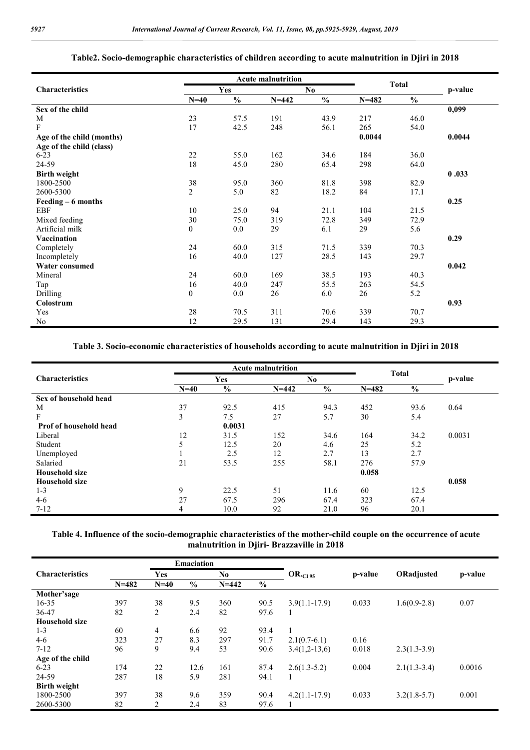|                           |                | <b>Acute malnutrition</b> | <b>Total</b> |               |           |               |         |
|---------------------------|----------------|---------------------------|--------------|---------------|-----------|---------------|---------|
| <b>Characteristics</b>    | Yes            |                           |              |               | No.       |               | p-value |
|                           | $N=40$         | $\frac{0}{0}$             | $N = 442$    | $\frac{0}{0}$ | $N = 482$ | $\frac{0}{0}$ |         |
| Sex of the child          |                |                           |              |               |           |               | 0,099   |
| M                         | 23             | 57.5                      | 191          | 43.9          | 217       | 46.0          |         |
| F                         | 17             | 42.5                      | 248          | 56.1          | 265       | 54.0          |         |
| Age of the child (months) |                |                           |              |               | 0.0044    |               | 0.0044  |
| Age of the child (class)  |                |                           |              |               |           |               |         |
| $6 - 23$                  | 22             | 55.0                      | 162          | 34.6          | 184       | 36.0          |         |
| 24-59                     | 18             | 45.0                      | 280          | 65.4          | 298       | 64.0          |         |
| <b>Birth weight</b>       |                |                           |              |               |           |               | 0.033   |
| 1800-2500                 | 38             | 95.0                      | 360          | 81.8          | 398       | 82.9          |         |
| 2600-5300                 | $\overline{2}$ | 5.0                       | 82           | 18.2          | 84        | 17.1          |         |
| Feeding $-6$ months       |                |                           |              |               |           |               | 0.25    |
| <b>EBF</b>                | 10             | 25.0                      | 94           | 21.1          | 104       | 21.5          |         |
| Mixed feeding             | 30             | 75.0                      | 319          | 72.8          | 349       | 72.9          |         |
| Artificial milk           | $\overline{0}$ | $0.0\,$                   | 29           | 6.1           | 29        | 5.6           |         |
| Vaccination               |                |                           |              |               |           |               | 0.29    |
| Completely                | 24             | 60.0                      | 315          | 71.5          | 339       | 70.3          |         |
| Incompletely              | 16             | 40.0                      | 127          | 28.5          | 143       | 29.7          |         |
| <b>Water consumed</b>     |                |                           |              |               |           |               | 0.042   |
| Mineral                   | 24             | 60.0                      | 169          | 38.5          | 193       | 40.3          |         |
| Tap                       | 16             | 40.0                      | 247          | 55.5          | 263       | 54.5          |         |
| Drilling                  | $\Omega$       | $0.0\,$                   | 26           | 6.0           | 26        | 5.2           |         |
| Colostrum                 |                |                           |              |               |           |               | 0.93    |
| Yes                       | 28             | 70.5                      | 311          | 70.6          | 339       | 70.7          |         |
| No                        | 12             | 29.5                      | 131          | 29.4          | 143       | 29.3          |         |

## **Table2. Socio-demographic characteristics of children according to acute malnutrition in Djiri in 2018**

# **Table 3. Socio-economic characteristics of households according to acute malnutrition in Djiri in 2018**

| <b>Characteristics</b> |        |               |           |                |              |               |         |
|------------------------|--------|---------------|-----------|----------------|--------------|---------------|---------|
|                        |        | <b>Yes</b>    |           | N <sub>0</sub> | <b>Total</b> |               | p-value |
|                        | $N=40$ | $\frac{0}{0}$ | $N = 442$ | $\frac{0}{0}$  | $N = 482$    | $\frac{0}{0}$ |         |
| Sex of household head  |        |               |           |                |              |               |         |
| M                      | 37     | 92.5          | 415       | 94.3           | 452          | 93.6          | 0.64    |
| F                      | 3      | 7.5           | 27        | 5.7            | 30           | 5.4           |         |
| Prof of household head |        | 0.0031        |           |                |              |               |         |
| Liberal                | 12     | 31.5          | 152       | 34.6           | 164          | 34.2          | 0.0031  |
| Student                | 5      | 12.5          | 20        | 4.6            | 25           | 5.2           |         |
| Unemployed             |        | 2.5           | 12        | 2.7            | 13           | 2.7           |         |
| Salaried               | 21     | 53.5          | 255       | 58.1           | 276          | 57.9          |         |
| <b>Household size</b>  |        |               |           |                | 0.058        |               |         |
| <b>Household size</b>  |        |               |           |                |              |               | 0.058   |
| $1 - 3$                | 9      | 22.5          | 51        | 11.6           | 60           | 12.5          |         |
| $4-6$                  | 27     | 67.5          | 296       | 67.4           | 323          | 67.4          |         |
| $7 - 12$               | 4      | 10.0          | 92        | 21.0           | 96           | 20.1          |         |

# **Table 4. Influence of the socio-demographic characteristics of the mother-child couple on the occurrence of acute malnutrition in Djiri- Brazzaville in 2018**

|                        |           | <b>Emaciation</b> |               |           |               |                     |         |                |         |
|------------------------|-----------|-------------------|---------------|-----------|---------------|---------------------|---------|----------------|---------|
| <b>Characteristics</b> |           | Yes               |               | No.       |               | $OR_{\cdot CI\,95}$ | p-value | ORadjusted     | p-value |
|                        | $N = 482$ | $N=40$            | $\frac{0}{0}$ | $N = 442$ | $\frac{0}{0}$ |                     |         |                |         |
| Mother'sage            |           |                   |               |           |               |                     |         |                |         |
| $16 - 35$              | 397       | 38                | 9.5           | 360       | 90.5          | $3.9(1.1-17.9)$     | 0.033   | $1.6(0.9-2.8)$ | 0.07    |
| 36-47                  | 82        | $\overline{2}$    | 2.4           | 82        | 97.6          |                     |         |                |         |
| <b>Household size</b>  |           |                   |               |           |               |                     |         |                |         |
| $1 - 3$                | 60        | $\overline{4}$    | 6.6           | 92        | 93.4          |                     |         |                |         |
| $4 - 6$                | 323       | 27                | 8.3           | 297       | 91.7          | $2.1(0.7-6.1)$      | 0.16    |                |         |
| $7 - 12$               | 96        | 9                 | 9.4           | 53        | 90.6          | $3.4(1,2-13,6)$     | 0.018   | $2.3(1.3-3.9)$ |         |
| Age of the child       |           |                   |               |           |               |                     |         |                |         |
| $6 - 23$               | 174       | 22                | 12.6          | 161       | 87.4          | $2.6(1.3-5.2)$      | 0.004   | $2.1(1.3-3.4)$ | 0.0016  |
| 24-59                  | 287       | 18                | 5.9           | 281       | 94.1          |                     |         |                |         |
| <b>Birth weight</b>    |           |                   |               |           |               |                     |         |                |         |
| 1800-2500              | 397       | 38                | 9.6           | 359       | 90.4          | $4.2(1.1-17.9)$     | 0.033   | $3.2(1.8-5.7)$ | 0.001   |
| 2600-5300              | 82        | $\overline{2}$    | 2.4           | 83        | 97.6          |                     |         |                |         |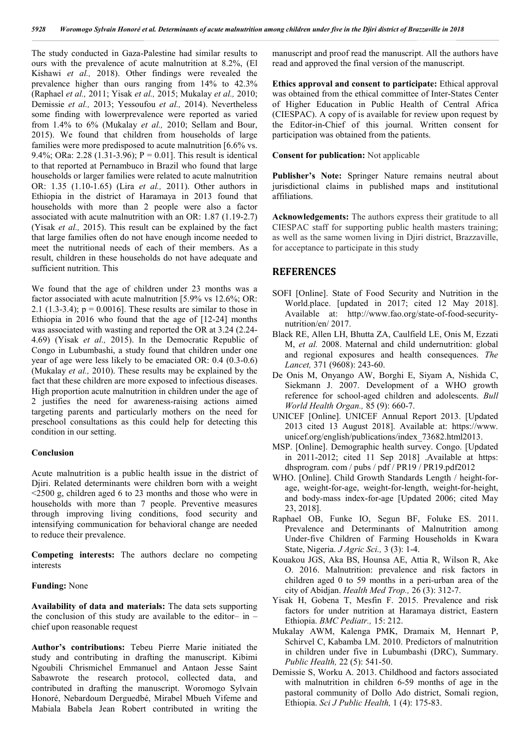The study conducted in Gaza-Palestine had similar results to ours with the prevalence of acute malnutrition at 8.2%, (El Kishawi *et al.,* 2018). Other findings were revealed the prevalence higher than ours ranging from 14% to 42.3% (Raphael *et al.,* 2011; Yisak *et al.,* 2015; Mukalay *et al.,* 2010; Demissie *et al.,* 2013; Yessoufou *et al.,* 2014). Nevertheless some finding with lowerprevalence were reported as varied from 1.4% to 6% (Mukalay *et al.,* 2010; Sellam and Bour, 2015). We found that children from households of large families were more predisposed to acute malnutrition [6.6% vs. 9.4%; ORa: 2.28 (1.31-3.96);  $P = 0.01$ . This result is identical to that reported at Pernambuco in Brazil who found that large households or larger families were related to acute malnutrition OR: 1.35 (1.10-1.65) (Lira *et al.,* 2011). Other authors in Ethiopia in the district of Haramaya in 2013 found that households with more than 2 people were also a factor associated with acute malnutrition with an OR: 1.87 (1.19-2.7) (Yisak *et al.,* 2015). This result can be explained by the fact that large families often do not have enough income needed to meet the nutritional needs of each of their members. As a result, children in these households do not have adequate and sufficient nutrition. This

We found that the age of children under 23 months was a factor associated with acute malnutrition [5.9% vs 12.6%; OR: 2.1 (1.3-3.4);  $p = 0.0016$ . These results are similar to those in Ethiopia in 2016 who found that the age of [12-24] months was associated with wasting and reported the OR at 3.24 (2.24- 4.69) (Yisak *et al.,* 2015). In the Democratic Republic of Congo in Lubumbashi, a study found that children under one year of age were less likely to be emaciated OR: 0.4 (0.3-0.6) (Mukalay *et al.,* 2010). These results may be explained by the fact that these children are more exposed to infectious diseases. High proportion acute malnutrition in children under the age of 2 justifies the need for awareness-raising actions aimed targeting parents and particularly mothers on the need for preschool consultations as this could help for detecting this condition in our setting.

#### **Conclusion**

Acute malnutrition is a public health issue in the district of Djiri. Related determinants were children born with a weight  $\leq$ 2500 g, children aged 6 to 23 months and those who were in households with more than 7 people. Preventive measures through improving living conditions, food security and intensifying communication for behavioral change are needed to reduce their prevalence.

**Competing interests:** The authors declare no competing interests

#### **Funding:** None

**Availability of data and materials:** The data sets supporting the conclusion of this study are available to the editor- in  $$ chief upon reasonable request

**Author's contributions:** Tebeu Pierre Marie initiated the study and contributing in drafting the manuscript. Kibimi Ngoubili Chrismichel Emmanuel and Antaon Jesse Saint Sabawrote the research protocol, collected data, and contributed in drafting the manuscript. Woromogo Sylvain Honoré, Nebardoum Derguedbé, Mirabel Mbueh Vifeme and Mabiala Babela Jean Robert contributed in writing the

manuscript and proof read the manuscript. All the authors have read and approved the final version of the manuscript.

**Ethics approval and consent to participate:** Ethical approval was obtained from the ethical committee of Inter-States Center of Higher Education in Public Health of Central Africa (CIESPAC). A copy of is available for review upon request by the Editor-in-Chief of this journal. Written consent for participation was obtained from the patients.

**Consent for publication:** Not applicable

**Publisher's Note:** Springer Nature remains neutral about jurisdictional claims in published maps and institutional affiliations.

**Acknowledgements:** The authors express their gratitude to all CIESPAC staff for supporting public health masters training; as well as the same women living in Djiri district, Brazzaville, for acceptance to participate in this study

### **REFERENCES**

- SOFI [Online]. State of Food Security and Nutrition in the World.place. [updated in 2017; cited 12 May 2018]. Available at: http://www.fao.org/state-of-food-securitynutrition/en/ 2017.
- Black RE, Allen LH, Bhutta ZA, Caulfield LE, Onis M, Ezzati M, *et al.* 2008. Maternal and child undernutrition: global and regional exposures and health consequences. *The Lancet,* 371 (9608): 243-60.
- De Onis M, Onyango AW, Borghi E, Siyam A, Nishida C, Siekmann J. 2007. Development of a WHO growth reference for school-aged children and adolescents. *Bull World Health Organ.,* 85 (9): 660-7.
- UNICEF [Online]. UNICEF Annual Report 2013. [Updated 2013 cited 13 August 2018]. Available at: https://www. unicef.org/english/publications/index\_73682.html2013.
- MSP. [Online]. Demographic health survey. Congo. [Updated in 2011-2012; cited 11 Sep 2018] .Available at https: dhsprogram. com / pubs / pdf / PR19 / PR19.pdf2012
- WHO. [Online]. Child Growth Standards Length / height-forage, weight-for-age, weight-for-length, weight-for-height, and body-mass index-for-age [Updated 2006; cited May 23, 2018].
- Raphael OB, Funke IO, Segun BF, Foluke ES. 2011. Prevalence and Determinants of Malnutrition among Under-five Children of Farming Households in Kwara State, Nigeria. *J Agric Sci.,* 3 (3): 1-4.
- Kouakou JGS, Aka BS, Hounsa AE, Attia R, Wilson R, Ake O. 2016. Malnutrition: prevalence and risk factors in children aged 0 to 59 months in a peri-urban area of the city of Abidjan. *Health Med Trop.,* 26 (3): 312-7.
- Yisak H, Gobena T, Mesfin F. 2015. Prevalence and risk factors for under nutrition at Haramaya district, Eastern Ethiopia. *BMC Pediatr.,* 15: 212.
- Mukalay AWM, Kalenga PMK, Dramaix M, Hennart P, Schirvel C, Kabamba LM. 2010. Predictors of malnutrition in children under five in Lubumbashi (DRC), Summary. *Public Health,* 22 (5): 541-50.
- Demissie S, Worku A. 2013. Childhood and factors associated with malnutrition in children 6-59 months of age in the pastoral community of Dollo Ado district, Somali region, Ethiopia. *Sci J Public Health,* 1 (4): 175-83.